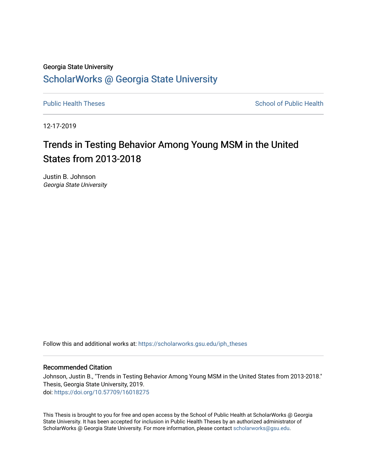# Georgia State University [ScholarWorks @ Georgia State University](https://scholarworks.gsu.edu/)

[Public Health Theses](https://scholarworks.gsu.edu/iph_theses) **School of Public Health** Public Health

12-17-2019

# Trends in Testing Behavior Among Young MSM in the United States from 2013-2018

Justin B. Johnson Georgia State University

Follow this and additional works at: [https://scholarworks.gsu.edu/iph\\_theses](https://scholarworks.gsu.edu/iph_theses?utm_source=scholarworks.gsu.edu%2Fiph_theses%2F677&utm_medium=PDF&utm_campaign=PDFCoverPages) 

#### Recommended Citation

Johnson, Justin B., "Trends in Testing Behavior Among Young MSM in the United States from 2013-2018." Thesis, Georgia State University, 2019. doi: <https://doi.org/10.57709/16018275>

This Thesis is brought to you for free and open access by the School of Public Health at ScholarWorks @ Georgia State University. It has been accepted for inclusion in Public Health Theses by an authorized administrator of ScholarWorks @ Georgia State University. For more information, please contact [scholarworks@gsu.edu](mailto:scholarworks@gsu.edu).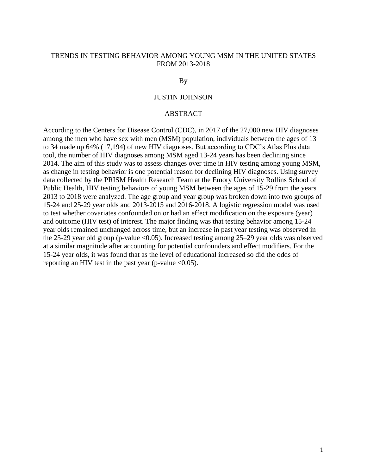### TRENDS IN TESTING BEHAVIOR AMONG YOUNG MSM IN THE UNITED STATES FROM 2013-2018

#### By

# JUSTIN JOHNSON

### **ABSTRACT**

According to the Centers for Disease Control (CDC), in 2017 of the 27,000 new HIV diagnoses among the men who have sex with men (MSM) population, individuals between the ages of 13 to 34 made up 64% (17,194) of new HIV diagnoses. But according to CDC's Atlas Plus data tool, the number of HIV diagnoses among MSM aged 13-24 years has been declining since 2014. The aim of this study was to assess changes over time in HIV testing among young MSM, as change in testing behavior is one potential reason for declining HIV diagnoses. Using survey data collected by the PRISM Health Research Team at the Emory University Rollins School of Public Health, HIV testing behaviors of young MSM between the ages of 15-29 from the years 2013 to 2018 were analyzed. The age group and year group was broken down into two groups of 15-24 and 25-29 year olds and 2013-2015 and 2016-2018. A logistic regression model was used to test whether covariates confounded on or had an effect modification on the exposure (year) and outcome (HIV test) of interest. The major finding was that testing behavior among 15-24 year olds remained unchanged across time, but an increase in past year testing was observed in the 25-29 year old group (p-value  $\langle 0.05 \rangle$ ). Increased testing among 25-29 year olds was observed at a similar magnitude after accounting for potential confounders and effect modifiers. For the 15-24 year olds, it was found that as the level of educational increased so did the odds of reporting an HIV test in the past year (p-value  $\leq 0.05$ ).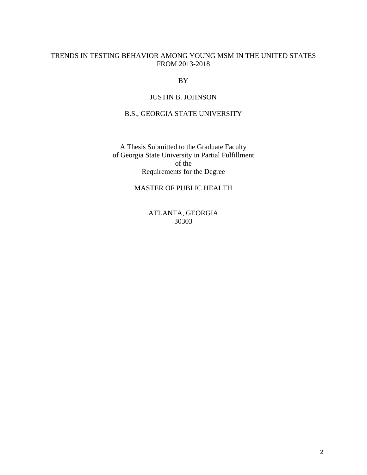# TRENDS IN TESTING BEHAVIOR AMONG YOUNG MSM IN THE UNITED STATES FROM 2013-2018

BY

# JUSTIN B. JOHNSON

# B.S., GEORGIA STATE UNIVERSITY

A Thesis Submitted to the Graduate Faculty of Georgia State University in Partial Fulfillment of the Requirements for the Degree

# MASTER OF PUBLIC HEALTH

ATLANTA, GEORGIA 30303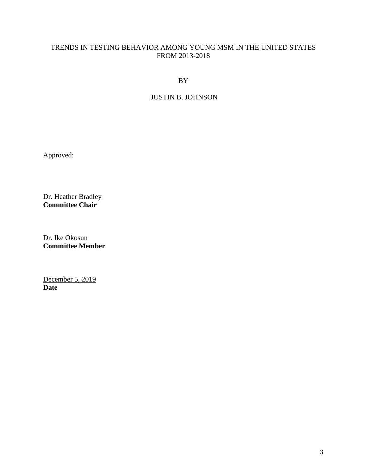# TRENDS IN TESTING BEHAVIOR AMONG YOUNG MSM IN THE UNITED STATES FROM 2013-2018

BY

# JUSTIN B. JOHNSON

Approved:

Dr. Heather Bradley **Committee Chair** 

Dr. Ike Okosun **Committee Member** 

December 5, 2019 **Date**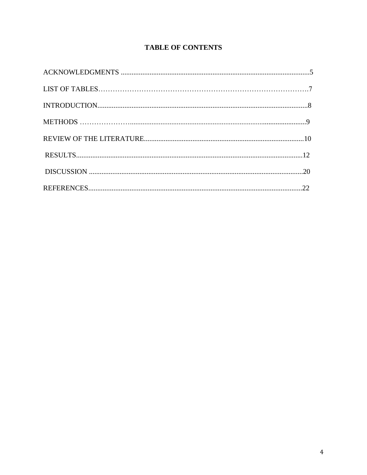# **TABLE OF CONTENTS**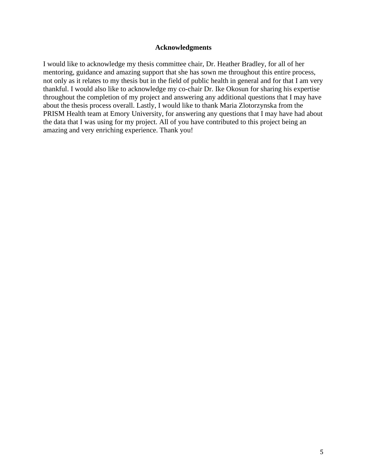#### **Acknowledgments**

I would like to acknowledge my thesis committee chair, Dr. Heather Bradley, for all of her mentoring, guidance and amazing support that she has sown me throughout this entire process, not only as it relates to my thesis but in the field of public health in general and for that I am very thankful. I would also like to acknowledge my co-chair Dr. Ike Okosun for sharing his expertise throughout the completion of my project and answering any additional questions that I may have about the thesis process overall. Lastly, I would like to thank Maria Zlotorzynska from the PRISM Health team at Emory University, for answering any questions that I may have had about the data that I was using for my project. All of you have contributed to this project being an amazing and very enriching experience. Thank you!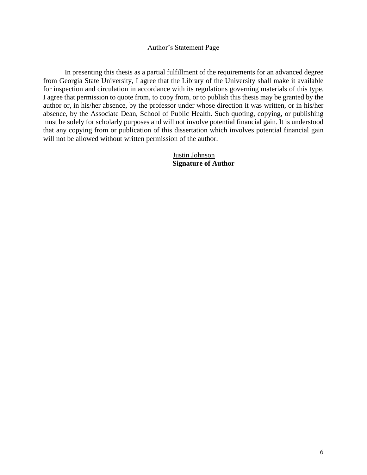#### Author's Statement Page

In presenting this thesis as a partial fulfillment of the requirements for an advanced degree from Georgia State University, I agree that the Library of the University shall make it available for inspection and circulation in accordance with its regulations governing materials of this type. I agree that permission to quote from, to copy from, or to publish this thesis may be granted by the author or, in his/her absence, by the professor under whose direction it was written, or in his/her absence, by the Associate Dean, School of Public Health. Such quoting, copying, or publishing must be solely for scholarly purposes and will not involve potential financial gain. It is understood that any copying from or publication of this dissertation which involves potential financial gain will not be allowed without written permission of the author.

> Justin Johnson **Signature of Author**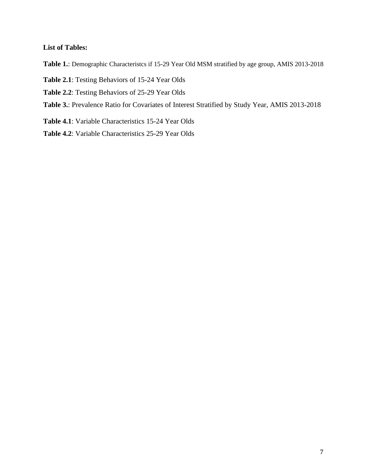### **List of Tables:**

**Table 1.**: Demographic Characteristcs if 15-29 Year Old MSM stratified by age group, AMIS 2013-2018

- **Table 2.1**: Testing Behaviors of 15-24 Year Olds
- **Table 2.2**: Testing Behaviors of 25-29 Year Olds
- **Table 3.**: Prevalence Ratio for Covariates of Interest Stratified by Study Year, AMIS 2013-2018
- **Table 4.1**: Variable Characteristics 15-24 Year Olds
- **Table 4.2**: Variable Characteristics 25-29 Year Olds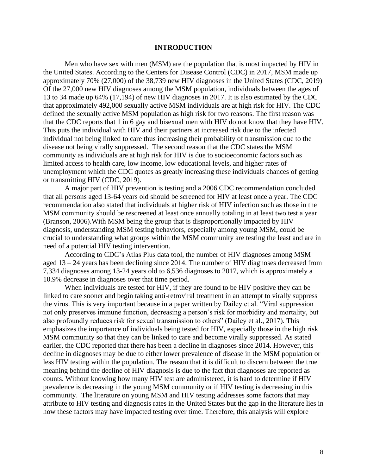#### **INTRODUCTION**

Men who have sex with men (MSM) are the population that is most impacted by HIV in the United States. According to the Centers for Disease Control (CDC) in 2017, MSM made up approximately 70% (27,000) of the 38,739 new HIV diagnoses in the United States (CDC, 2019) Of the 27,000 new HIV diagnoses among the MSM population, individuals between the ages of 13 to 34 made up 64% (17,194) of new HIV diagnoses in 2017. It is also estimated by the CDC that approximately 492,000 sexually active MSM individuals are at high risk for HIV. The CDC defined the sexually active MSM population as high risk for two reasons. The first reason was that the CDC reports that 1 in 6 gay and bisexual men with HIV do not know that they have HIV. This puts the individual with HIV and their partners at increased risk due to the infected individual not being linked to care thus increasing their probability of transmission due to the disease not being virally suppressed. The second reason that the CDC states the MSM community as individuals are at high risk for HIV is due to socioeconomic factors such as limited access to health care, low income, low educational levels, and higher rates of unemployment which the CDC quotes as greatly increasing these individuals chances of getting or transmitting HIV (CDC, 2019).

A major part of HIV prevention is testing and a 2006 CDC recommendation concluded that all persons aged 13-64 years old should be screened for HIV at least once a year. The CDC recommendation also stated that individuals at higher risk of HIV infection such as those in the MSM community should be rescreened at least once annually totaling in at least two test a year (Branson, 2006).With MSM being the group that is disproportionally impacted by HIV diagnosis, understanding MSM testing behaviors, especially among young MSM, could be crucial to understanding what groups within the MSM community are testing the least and are in need of a potential HIV testing intervention.

According to CDC's Atlas Plus data tool, the number of HIV diagnoses among MSM aged 13 – 24 years has been declining since 2014. The number of HIV diagnoses decreased from 7,334 diagnoses among 13-24 years old to 6,536 diagnoses to 2017, which is approximately a 10.9% decrease in diagnoses over that time period.

When individuals are tested for HIV, if they are found to be HIV positive they can be linked to care sooner and begin taking anti-retroviral treatment in an attempt to virally suppress the virus. This is very important because in a paper written by Dailey et al. "Viral suppression not only preserves immune function, decreasing a person's risk for morbidity and mortality, but also profoundly reduces risk for sexual transmission to others" (Dailey et al., 2017). This emphasizes the importance of individuals being tested for HIV, especially those in the high risk MSM community so that they can be linked to care and become virally suppressed. As stated earlier, the CDC reported that there has been a decline in diagnoses since 2014. However, this decline in diagnoses may be due to either lower prevalence of disease in the MSM population or less HIV testing within the population. The reason that it is difficult to discern between the true meaning behind the decline of HIV diagnosis is due to the fact that diagnoses are reported as counts. Without knowing how many HIV test are administered, it is hard to determine if HIV prevalence is decreasing in the young MSM community or if HIV testing is decreasing in this community. The literature on young MSM and HIV testing addresses some factors that may attribute to HIV testing and diagnosis rates in the United States but the gap in the literature lies in how these factors may have impacted testing over time. Therefore, this analysis will explore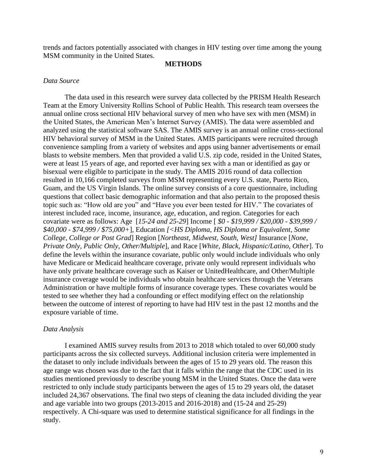trends and factors potentially associated with changes in HIV testing over time among the young MSM community in the United States.

#### **METHODS**

#### *Data Source*

The data used in this research were survey data collected by the PRISM Health Research Team at the Emory University Rollins School of Public Health. This research team oversees the annual online cross sectional HIV behavioral survey of men who have sex with men (MSM) in the United States, the American Men's Internet Survey (AMIS). The data were assembled and analyzed using the statistical software SAS. The AMIS survey is an annual online cross-sectional HIV behavioral survey of MSM in the United States. AMIS participants were recruited through convenience sampling from a variety of websites and apps using banner advertisements or email blasts to website members. Men that provided a valid U.S. zip code, resided in the United States, were at least 15 years of age, and reported ever having sex with a man or identified as gay or bisexual were eligible to participate in the study. The AMIS 2016 round of data collection resulted in 10,166 completed surveys from MSM representing every U.S. state, Puerto Rico, Guam, and the US Virgin Islands. The online survey consists of a core questionnaire, including questions that collect basic demographic information and that also pertain to the proposed thesis topic such as: "How old are you" and "Have you ever been tested for HIV." The covariates of interest included race, income, insurance, age, education, and region. Categories for each covariate were as follows: Age [*15-24 and 25-29*] Income [ *\$0 - \$19,999 / \$20,000 - \$39,999 / \$40,000 - \$74,999 / \$75,000+*], Education *[<HS Diploma, HS Diploma or Equivalent, Some College, College or Post Grad*] Region [*Northeast, Midwest, South, West]* Insurance [*None, Private Only, Public Only, Other/Multiple*], and Race [*White, Black, Hispanic/Latino, Other*]. To define the levels within the insurance covariate, public only would include individuals who only have Medicare or Medicaid healthcare coverage, private only would represent individuals who have only private healthcare coverage such as Kaiser or UnitedHealthcare, and Other/Multiple insurance coverage would be individuals who obtain healthcare services through the Veterans Administration or have multiple forms of insurance coverage types. These covariates would be tested to see whether they had a confounding or effect modifying effect on the relationship between the outcome of interest of reporting to have had HIV test in the past 12 months and the exposure variable of time.

#### *Data Analysis*

I examined AMIS survey results from 2013 to 2018 which totaled to over 60,000 study participants across the six collected surveys. Additional inclusion criteria were implemented in the dataset to only include individuals between the ages of 15 to 29 years old. The reason this age range was chosen was due to the fact that it falls within the range that the CDC used in its studies mentioned previously to describe young MSM in the United States. Once the data were restricted to only include study participants between the ages of 15 to 29 years old, the dataset included 24,367 observations. The final two steps of cleaning the data included dividing the year and age variable into two groups (2013-2015 and 2016-2018) and (15-24 and 25-29) respectively. A Chi-square was used to determine statistical significance for all findings in the study.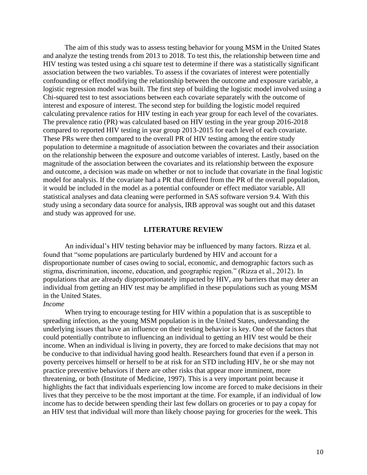The aim of this study was to assess testing behavior for young MSM in the United States and analyze the testing trends from 2013 to 2018. To test this, the relationship between time and HIV testing was tested using a chi square test to determine if there was a statistically significant association between the two variables. To assess if the covariates of interest were potentially confounding or effect modifying the relationship between the outcome and exposure variable, a logistic regression model was built. The first step of building the logistic model involved using a Chi-squared test to test associations between each covariate separately with the outcome of interest and exposure of interest. The second step for building the logistic model required calculating prevalence ratios for HIV testing in each year group for each level of the covariates. The prevalence ratio (PR) was calculated based on HIV testing in the year group 2016-2018 compared to reported HIV testing in year group 2013-2015 for each level of each covariate. These PRs were then compared to the overall PR of HIV testing among the entire study population to determine a magnitude of association between the covariates and their association on the relationship between the exposure and outcome variables of interest. Lastly, based on the magnitude of the association between the covariates and its relationship between the exposure and outcome, a decision was made on whether or not to include that covariate in the final logistic model for analysis. If the covariate had a PR that differed from the PR of the overall population, it would be included in the model as a potential confounder or effect mediator variable**.** All statistical analyses and data cleaning were performed in SAS software version 9.4. With this study using a secondary data source for analysis, IRB approval was sought out and this dataset and study was approved for use.

#### **LITERATURE REVIEW**

An individual's HIV testing behavior may be influenced by many factors. Rizza et al. found that "some populations are particularly burdened by HIV and account for a disproportionate number of cases owing to social, economic, and demographic factors such as stigma, discrimination, income, education, and geographic region." (Rizza et al., 2012). In populations that are already disproportionately impacted by HIV, any barriers that may deter an individual from getting an HIV test may be amplified in these populations such as young MSM in the United States.

#### *Income*

When trying to encourage testing for HIV within a population that is as susceptible to spreading infection, as the young MSM population is in the United States, understanding the underlying issues that have an influence on their testing behavior is key. One of the factors that could potentially contribute to influencing an individual to getting an HIV test would be their income. When an individual is living in poverty, they are forced to make decisions that may not be conducive to that individual having good health. Researchers found that even if a person in poverty perceives himself or herself to be at risk for an STD including HIV, he or she may not practice preventive behaviors if there are other risks that appear more imminent, more threatening, or both (Institute of Medicine, 1997). This is a very important point because it highlights the fact that individuals experiencing low income are forced to make decisions in their lives that they perceive to be the most important at the time. For example, if an individual of low income has to decide between spending their last few dollars on groceries or to pay a copay for an HIV test that individual will more than likely choose paying for groceries for the week. This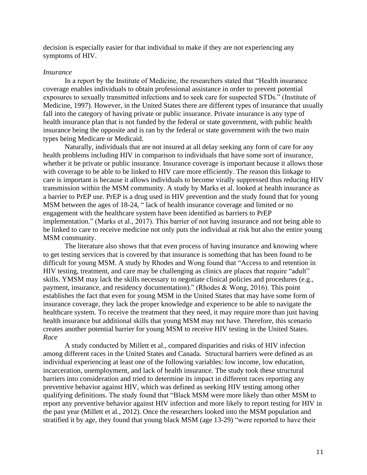decision is especially easier for that individual to make if they are not experiencing any symptoms of HIV.

#### *Insurance*

In a report by the Institute of Medicine, the researchers stated that "Health insurance coverage enables individuals to obtain professional assistance in order to prevent potential exposures to sexually transmitted infections and to seek care for suspected STDs." (Institute of Medicine, 1997). However, in the United States there are different types of insurance that usually fall into the category of having private or public insurance. Private insurance is any type of health insurance plan that is not funded by the federal or state government, with public health insurance being the opposite and is ran by the federal or state government with the two main types being Medicare or Medicaid.

Naturally, individuals that are not insured at all delay seeking any form of care for any health problems including HIV in comparison to individuals that have some sort of insurance, whether it be private or public insurance. Insurance coverage is important because it allows those with coverage to be able to be linked to HIV care more efficiently. The reason this linkage to care is important is because it allows individuals to become virally suppressed thus reducing HIV transmission within the MSM community. A study by Marks et al. looked at health insurance as a barrier to PrEP use. PrEP is a drug used in HIV prevention and the study found that for young MSM between the ages of 18-24, " lack of health insurance coverage and limited or no engagement with the healthcare system have been identified as barriers to PrEP implementation." (Marks et al., 2017). This barrier of not having insurance and not being able to be linked to care to receive medicine not only puts the individual at risk but also the entire young MSM community.

The literature also shows that that even process of having insurance and knowing where to get testing services that is covered by that insurance is something that has been found to be difficult for young MSM. A study by Rhodes and Wong found that "Access to and retention in HIV testing, treatment, and care may be challenging as clinics are places that require "adult" skills. YMSM may lack the skills necessary to negotiate clinical policies and procedures (e.g., payment, insurance, and residency documentation)." (Rhodes & Wong, 2016). This point establishes the fact that even for young MSM in the United States that may have some form of insurance coverage, they lack the proper knowledge and experience to be able to navigate the healthcare system. To receive the treatment that they need, it may require more than just having health insurance but additional skills that young MSM may not have. Therefore, this scenario creates another potential barrier for young MSM to receive HIV testing in the United States. *Race*

A study conducted by Millett et al., compared disparities and risks of HIV infection among different races in the United States and Canada. Structural barriers were defined as an individual experiencing at least one of the following variables: low income, low education, incarceration, unemployment, and lack of health insurance. The study took these structural barriers into consideration and tried to determine its impact in different races reporting any preventive behavior against HIV, which was defined as seeking HIV testing among other qualifying definitions. The study found that "Black MSM were more likely than other MSM to report any preventive behavior against HIV infection and more likely to report testing for HIV in the past year (Millett et al., 2012). Once the researchers looked into the MSM population and stratified it by age, they found that young black MSM (age 13-29) "were reported to have their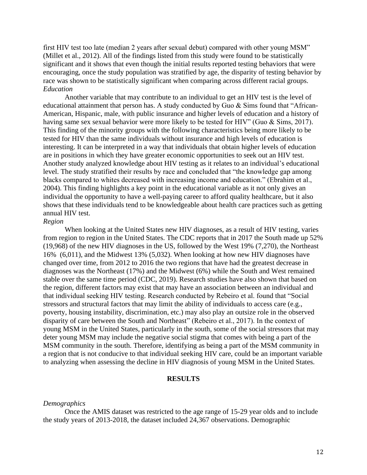first HIV test too late (median 2 years after sexual debut) compared with other young MSM" (Millet et al., 2012). All of the findings listed from this study were found to be statistically significant and it shows that even though the initial results reported testing behaviors that were encouraging, once the study population was stratified by age, the disparity of testing behavior by race was shown to be statistically significant when comparing across different racial groups. *Education*

Another variable that may contribute to an individual to get an HIV test is the level of educational attainment that person has. A study conducted by Guo & Sims found that "African-American, Hispanic, male, with public insurance and higher levels of education and a history of having same sex sexual behavior were more likely to be tested for HIV" (Guo & Sims, 2017). This finding of the minority groups with the following characteristics being more likely to be tested for HIV than the same individuals without insurance and high levels of education is interesting. It can be interpreted in a way that individuals that obtain higher levels of education are in positions in which they have greater economic opportunities to seek out an HIV test. Another study analyzed knowledge about HIV testing as it relates to an individual's educational level. The study stratified their results by race and concluded that "the knowledge gap among blacks compared to whites decreased with increasing income and education." (Ebrahim et al., 2004). This finding highlights a key point in the educational variable as it not only gives an individual the opportunity to have a well-paying career to afford quality healthcare, but it also shows that these individuals tend to be knowledgeable about health care practices such as getting annual HIV test.

#### *Region*

When looking at the United States new HIV diagnoses, as a result of HIV testing, varies from region to region in the United States. The CDC reports that in 2017 the South made up 52% (19,968) of the new HIV diagnoses in the US, followed by the West 19% (7,270), the Northeast 16% (6,011), and the Midwest 13% (5,032). When looking at how new HIV diagnoses have changed over time, from 2012 to 2016 the two regions that have had the greatest decrease in diagnoses was the Northeast (17%) and the Midwest (6%) while the South and West remained stable over the same time period (CDC, 2019). Research studies have also shown that based on the region, different factors may exist that may have an association between an individual and that individual seeking HIV testing. Research conducted by Rebeiro et al. found that "Social stressors and structural factors that may limit the ability of individuals to access care (e.g., poverty, housing instability, discrimination, etc.) may also play an outsize role in the observed disparity of care between the South and Northeast" (Rebeiro et al., 2017). In the context of young MSM in the United States, particularly in the south, some of the social stressors that may deter young MSM may include the negative social stigma that comes with being a part of the MSM community in the south. Therefore, identifying as being a part of the MSM community in a region that is not conducive to that individual seeking HIV care, could be an important variable to analyzing when assessing the decline in HIV diagnosis of young MSM in the United States.

#### **RESULTS**

#### *Demographics*

Once the AMIS dataset was restricted to the age range of 15-29 year olds and to include the study years of 2013-2018, the dataset included 24,367 observations. Demographic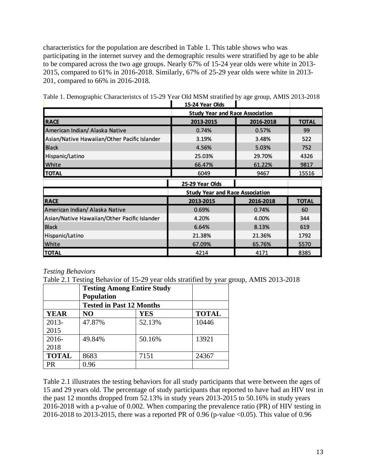characteristics for the population are described in Table 1. This table shows who was participating in the internet survey and the demographic results were stratified by age to be able to be compared across the two age groups. Nearly 67% of 15-24 year olds were white in 2013- 2015, compared to 61% in 2016-2018. Similarly, 67% of 25-29 year olds were white in 2013- 201, compared to 66% in 2016-2018.

|                                              | 1979 ICAI VIUJ                         |           |              |  |
|----------------------------------------------|----------------------------------------|-----------|--------------|--|
|                                              | <b>Study Year and Race Association</b> |           |              |  |
| <b>RACE</b>                                  | 2013-2015                              | 2016-2018 | <b>TOTAL</b> |  |
| American Indian/ Alaska Native               | 0.74%                                  | 0.57%     | 99           |  |
| Asian/Native Hawaiian/Other Pacific Islander | 3.19%                                  | 3.48%     | 522          |  |
| <b>Black</b>                                 | 4.56%                                  | 5.03%     | 752          |  |
| Hispanic/Latino                              | 25.03%                                 | 29.70%    | 4326         |  |
| White                                        | 66.47%                                 | 61.22%    | 9817         |  |
| <b>TOTAL</b>                                 | 6049                                   | 9467      | 15516        |  |
|                                              | 25-29 Year Olds                        |           |              |  |
|                                              | <b>Study Year and Race Association</b> |           |              |  |
| <b>RACE</b>                                  | 2013-2015                              | 2016-2018 | <b>TOTAL</b> |  |
| American Indian/ Alaska Native               | 0.69%                                  | 0.74%     | 60           |  |
| Asian/Native Hawaiian/Other Pacific Islander | 4.20%                                  | 4.00%     | 344          |  |
| <b>Black</b>                                 | 6.64%                                  | 8.13%     | 619          |  |
| Hispanic/Latino                              | 21.38%                                 | 21.36%    | 1792         |  |
| White                                        | 67.09%                                 | 65.76%    | 5570         |  |
| <b>TOTAL</b>                                 | 4214                                   | 4171      | 8385         |  |

Table 1. Demographic Characteristcs of 15-29 Year Old MSM stratified by age group, AMIS 2013-2018

### *Testing Behaviors*

Table 2.1 Testing Behavior of 15-29 year olds stratified by year group, AMIS 2013-2018

|              | <b>Testing Among Entire Study</b><br><b>Population</b> |            |              |
|--------------|--------------------------------------------------------|------------|--------------|
|              | <b>Tested in Past 12 Months</b>                        |            |              |
| <b>YEAR</b>  | N <sub>O</sub>                                         | <b>YES</b> | <b>TOTAL</b> |
| 2013-        | 47.87%                                                 | 52.13%     | 10446        |
| 2015         |                                                        |            |              |
| 2016-        | 49.84%                                                 | 50.16%     | 13921        |
| 2018         |                                                        |            |              |
| <b>TOTAL</b> | 8683                                                   | 7151       | 24367        |
| <b>PR</b>    | 0.96                                                   |            |              |

Table 2.1 illustrates the testing behaviors for all study participants that were between the ages of 15 and 29 years old. The percentage of study participants that reported to have had an HIV test in the past 12 months dropped from 52.13% in study years 2013-2015 to 50.16% in study years 2016-2018 with a p-value of 0.002. When comparing the prevalence ratio (PR) of HIV testing in 2016-2018 to 2013-2015, there was a reported PR of 0.96 (p-value <0.05). This value of 0.96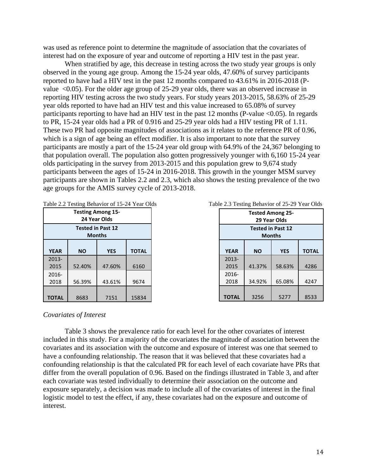was used as reference point to determine the magnitude of association that the covariates of interest had on the exposure of year and outcome of reporting a HIV test in the past year.

When stratified by age, this decrease in testing across the two study year groups is only observed in the young age group. Among the 15-24 year olds, 47.60% of survey participants reported to have had a HIV test in the past 12 months compared to 43.61% in 2016-2018 (Pvalue <0.05). For the older age group of 25-29 year olds, there was an observed increase in reporting HIV testing across the two study years. For study years 2013-2015, 58.63% of 25-29 year olds reported to have had an HIV test and this value increased to 65.08% of survey participants reporting to have had an HIV test in the past 12 months (P-value  $<0.05$ ). In regards to PR, 15-24 year olds had a PR of 0.916 and 25-29 year olds had a HIV testing PR of 1.11. These two PR had opposite magnitudes of associations as it relates to the reference PR of 0.96, which is a sign of age being an effect modifier. It is also important to note that the survey participants are mostly a part of the 15-24 year old group with 64.9% of the 24,367 belonging to that population overall. The population also gotten progressively younger with 6,160 15-24 year olds participating in the survey from 2013-2015 and this population grew to 9,674 study participants between the ages of 15-24 in 2016-2018. This growth in the younger MSM survey participants are shown in Tables 2.2 and 2.3, which also shows the testing prevalence of the two age groups for the AMIS survey cycle of 2013-2018.

|                                          | rabic 2.2 results behavior of 15-24 real Old |                          |              |  |
|------------------------------------------|----------------------------------------------|--------------------------|--------------|--|
| <b>Testing Among 15-</b><br>24 Year Olds |                                              |                          |              |  |
|                                          |                                              | <b>Tested in Past 12</b> |              |  |
|                                          |                                              |                          |              |  |
|                                          |                                              | <b>Months</b>            |              |  |
|                                          |                                              |                          |              |  |
| <b>YEAR</b>                              | ΝO                                           | <b>YES</b>               | <b>TOTAL</b> |  |
| $2013 -$                                 |                                              |                          |              |  |
| 2015                                     | 52.40%                                       | 47.60%                   | 6160         |  |
| 2016-                                    |                                              |                          |              |  |
| 2018                                     | 56.39%                                       | 43.61%                   | 9674         |  |
|                                          |                                              |                          |              |  |
| <b>TOTAL</b>                             | 8683                                         | 7151                     | 15834        |  |

| <b>Tested Among 25-</b><br>29 Year Olds   |                                         |        |      |  |  |  |
|-------------------------------------------|-----------------------------------------|--------|------|--|--|--|
| <b>Tested in Past 12</b><br><b>Months</b> |                                         |        |      |  |  |  |
| <b>YEAR</b>                               | <b>YES</b><br><b>TOTAL</b><br><b>NO</b> |        |      |  |  |  |
| $2013 -$                                  |                                         |        |      |  |  |  |
| 2015                                      | 41.37%                                  | 58.63% | 4286 |  |  |  |
| 2016-                                     |                                         |        |      |  |  |  |
| 2018                                      | 34.92%                                  | 65.08% | 4247 |  |  |  |
| <b>TOTAL</b>                              | 3256                                    | 5277   | 8533 |  |  |  |

#### *Covariates of Interest*

Table 3 shows the prevalence ratio for each level for the other covariates of interest included in this study. For a majority of the covariates the magnitude of association between the covariates and its association with the outcome and exposure of interest was one that seemed to have a confounding relationship. The reason that it was believed that these covariates had a confounding relationship is that the calculated PR for each level of each covariate have PRs that differ from the overall population of 0.96. Based on the findings illustrated in Table 3, and after each covariate was tested individually to determine their association on the outcome and exposure separately, a decision was made to include all of the covariates of interest in the final logistic model to test the effect, if any, these covariates had on the exposure and outcome of interest.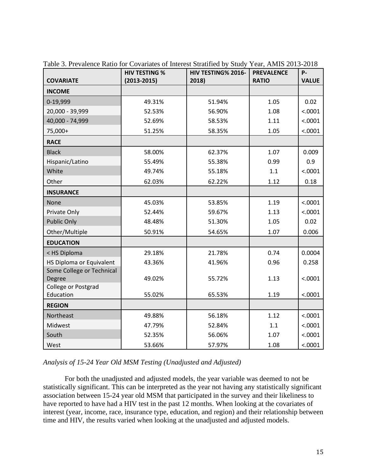|                               | <b>HIV TESTING %</b> | HIV TESTING% 2016- | <b>PREVALENCE</b> | P-           |
|-------------------------------|----------------------|--------------------|-------------------|--------------|
| <b>COVARIATE</b>              | $(2013 - 2015)$      | 2018)              | <b>RATIO</b>      | <b>VALUE</b> |
| <b>INCOME</b>                 |                      |                    |                   |              |
| 0-19,999                      | 49.31%               | 51.94%             | 1.05              | 0.02         |
| 20,000 - 39,999               | 52.53%               | 56.90%             | 1.08              | < .0001      |
| 40,000 - 74,999               | 52.69%               | 58.53%             | 1.11              | < .0001      |
| 75,000+                       | 51.25%               | 58.35%             | 1.05              | < .0001      |
| <b>RACE</b>                   |                      |                    |                   |              |
| <b>Black</b>                  | 58.00%               | 62.37%             | 1.07              | 0.009        |
| Hispanic/Latino               | 55.49%               | 55.38%             | 0.99              | 0.9          |
| White                         | 49.74%               | 55.18%             | 1.1               | < .0001      |
| Other                         | 62.03%               | 62.22%             | 1.12              | 0.18         |
| <b>INSURANCE</b>              |                      |                    |                   |              |
| None                          | 45.03%               | 53.85%             | 1.19              | < .0001      |
| Private Only                  | 52.44%               | 59.67%             | 1.13              | < .0001      |
| <b>Public Only</b>            | 48.48%               | 51.30%             | 1.05              | 0.02         |
| Other/Multiple                | 50.91%               | 54.65%             | 1.07              | 0.006        |
| <b>EDUCATION</b>              |                      |                    |                   |              |
| < HS Diploma                  | 29.18%               | 21.78%             | 0.74              | 0.0004       |
| HS Diploma or Equivalent      | 43.36%               | 41.96%             | 0.96              | 0.258        |
| Some College or Technical     |                      |                    |                   |              |
| Degree<br>College or Postgrad | 49.02%               | 55.72%             | 1.13              | < .0001      |
| Education                     | 55.02%               | 65.53%             | 1.19              | < .0001      |
| <b>REGION</b>                 |                      |                    |                   |              |
| Northeast                     | 49.88%               | 56.18%             | 1.12              | < .0001      |
| Midwest                       | 47.79%               | 52.84%             | 1.1               | < .0001      |
| South                         | 52.35%               | 56.06%             | 1.07              | < .0001      |
| West                          | 53.66%               | 57.97%             | 1.08              | < .0001      |

Table 3. Prevalence Ratio for Covariates of Interest Stratified by Study Year, AMIS 2013-2018

*Analysis of 15-24 Year Old MSM Testing (Unadjusted and Adjusted)*

For both the unadjusted and adjusted models, the year variable was deemed to not be statistically significant. This can be interpreted as the year not having any statistically significant association between 15-24 year old MSM that participated in the survey and their likeliness to have reported to have had a HIV test in the past 12 months. When looking at the covariates of interest (year, income, race, insurance type, education, and region) and their relationship between time and HIV, the results varied when looking at the unadjusted and adjusted models.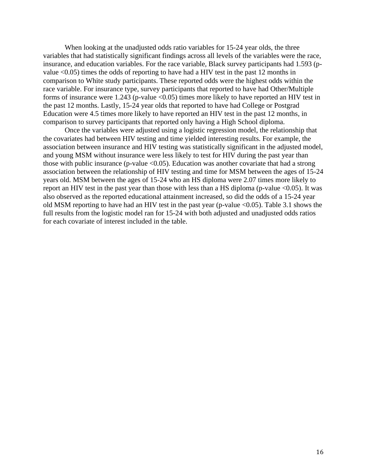When looking at the unadjusted odds ratio variables for 15-24 year olds, the three variables that had statistically significant findings across all levels of the variables were the race, insurance, and education variables. For the race variable, Black survey participants had 1.593 (pvalue <0.05) times the odds of reporting to have had a HIV test in the past 12 months in comparison to White study participants. These reported odds were the highest odds within the race variable. For insurance type, survey participants that reported to have had Other/Multiple forms of insurance were 1.243 (p-value  $\langle 0.05 \rangle$ ) times more likely to have reported an HIV test in the past 12 months. Lastly, 15-24 year olds that reported to have had College or Postgrad Education were 4.5 times more likely to have reported an HIV test in the past 12 months, in comparison to survey participants that reported only having a High School diploma.

Once the variables were adjusted using a logistic regression model, the relationship that the covariates had between HIV testing and time yielded interesting results. For example, the association between insurance and HIV testing was statistically significant in the adjusted model, and young MSM without insurance were less likely to test for HIV during the past year than those with public insurance (p-value  $\langle 0.05 \rangle$ ). Education was another covariate that had a strong association between the relationship of HIV testing and time for MSM between the ages of 15-24 years old. MSM between the ages of 15-24 who an HS diploma were 2.07 times more likely to report an HIV test in the past year than those with less than a HS diploma (p-value <0.05). It was also observed as the reported educational attainment increased, so did the odds of a 15-24 year old MSM reporting to have had an HIV test in the past year (p-value <0.05). Table 3.1 shows the full results from the logistic model ran for 15-24 with both adjusted and unadjusted odds ratios for each covariate of interest included in the table.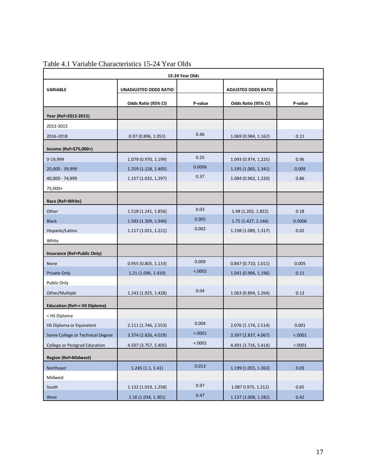| 15-24 Year Olds                        |                              |                            |                      |         |  |
|----------------------------------------|------------------------------|----------------------------|----------------------|---------|--|
| <b>VARIABLE</b>                        | <b>UNADJUSTED ODDS RATIO</b> | <b>ADJUSTED ODDS RATIO</b> |                      |         |  |
|                                        | Odds Ratio (95% CI)          | P-value                    | Odds Ratio (95% CI)  | P-value |  |
| Year (Ref=2013-2015)                   |                              |                            |                      |         |  |
| 2013-2015                              |                              |                            |                      |         |  |
| 2016-2018                              | 0.97(0.896, 1.051)           | 0.46                       | 1.069 (0.984, 1.162) | 0.11    |  |
| Income (Ref=\$75,000+)                 |                              |                            |                      |         |  |
| 0-19,999                               | 1.079 (0.970, 1.199)         | 0.25                       | 1.093 (0.974, 1.225) | 0.96    |  |
| 20,000 - 39,999                        | 1.259 (1.128, 1.405)         | 0.0006                     | 1.195 (1.065, 1.341) | 0.009   |  |
| 40,000 - 74,999                        | 1.157 (1.032, 1.297)         | 0.37                       | 1.084 (0.962, 1.220) | 0.86    |  |
| 75,000+                                |                              |                            |                      |         |  |
| Race (Ref=White)                       |                              |                            |                      |         |  |
| Other                                  | 1.518 (1.241, 1.856)         | 0.03                       | 1.48 (1.202, 1.822)  | 0.18    |  |
| <b>Black</b>                           | 1.593 (1.309, 1.940)         | 0.005                      | 1.75 (1.427, 2.146)  | 0.0006  |  |
| Hispanic/Latino                        | 1.117 (1.021, 1.221)         | 0.002                      | 1.198 (1.089, 1.317) | 0.02    |  |
| White                                  |                              |                            |                      |         |  |
| Insurance (Ref=Public Only)            |                              |                            |                      |         |  |
| None                                   | 0.955(0.805, 1.133)          | 0.009                      | 0.847(0.710, 1.011)  | 0.005   |  |
| Private Only                           | 1.21 (1.096, 1.410)          | < .0001                    | 1.041 (0.906, 1.196) | 0.11    |  |
| Public Only                            |                              |                            |                      |         |  |
| Other/Multiple                         | 1.243 (1.025, 1.428)         | 0.04                       | 1.063 (0.894, 1.264) | 0.13    |  |
| <b>Education (Ref=&lt; HS Diploma)</b> |                              |                            |                      |         |  |
| < HS Diploma                           |                              |                            |                      |         |  |
| HS Diploma or Equivalent               | 2.111 (1.746, 2.553)         | 0.004                      | 2.076 (1.174, 2.514) | 0.001   |  |
| Some College or Technical Degree       | 3.374 (2.826, 4.029)         | < .0001                    | 3.397 (2.837, 4.067) | < .0001 |  |
| College or Postgrad Education          | 4.507 (3.757, 5.405)         | < .0001                    | 4.491 (3.726, 5.414) | < .0001 |  |
| <b>Region (Ref=Midwest)</b>            |                              |                            |                      |         |  |
| Northeast                              | 1.245(1.1, 1.41)             | 0.013                      | 1.199 (1.055, 1.363) | 0.03    |  |
| Midwest                                |                              |                            |                      |         |  |
| South                                  | 1.132 (1.019, 1.258)         | 0.97                       | 1.087 0.975, 1.212)  | 0.65    |  |
| West                                   | 1.16 (1.034, 1.301)          | 0.47                       | 1.137 (1.008, 1.282) | 0.42    |  |

Table 4.1 Variable Characteristics 15-24 Year Olds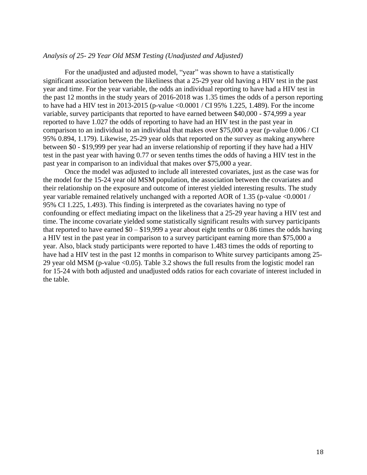#### *Analysis of 25- 29 Year Old MSM Testing (Unadjusted and Adjusted)*

For the unadjusted and adjusted model, "year" was shown to have a statistically significant association between the likeliness that a 25-29 year old having a HIV test in the past year and time. For the year variable, the odds an individual reporting to have had a HIV test in the past 12 months in the study years of 2016-2018 was 1.35 times the odds of a person reporting to have had a HIV test in 2013-2015 (p-value <0.0001 / CI 95% 1.225, 1.489). For the income variable, survey participants that reported to have earned between \$40,000 - \$74,999 a year reported to have 1.027 the odds of reporting to have had an HIV test in the past year in comparison to an individual to an individual that makes over \$75,000 a year (p-value 0.006 / CI 95% 0.894, 1.179). Likewise, 25-29 year olds that reported on the survey as making anywhere between \$0 - \$19,999 per year had an inverse relationship of reporting if they have had a HIV test in the past year with having 0.77 or seven tenths times the odds of having a HIV test in the past year in comparison to an individual that makes over \$75,000 a year.

Once the model was adjusted to include all interested covariates, just as the case was for the model for the 15-24 year old MSM population, the association between the covariates and their relationship on the exposure and outcome of interest yielded interesting results. The study year variable remained relatively unchanged with a reported AOR of 1.35 (p-value <0.0001 / 95% CI 1.225, 1.493). This finding is interpreted as the covariates having no type of confounding or effect mediating impact on the likeliness that a 25-29 year having a HIV test and time. The income covariate yielded some statistically significant results with survey participants that reported to have earned  $$0 - $19,999$  a year about eight tenths or 0.86 times the odds having a HIV test in the past year in comparison to a survey participant earning more than \$75,000 a year. Also, black study participants were reported to have 1.483 times the odds of reporting to have had a HIV test in the past 12 months in comparison to White survey participants among 25-29 year old MSM (p-value <0.05). Table 3.2 shows the full results from the logistic model ran for 15-24 with both adjusted and unadjusted odds ratios for each covariate of interest included in the table.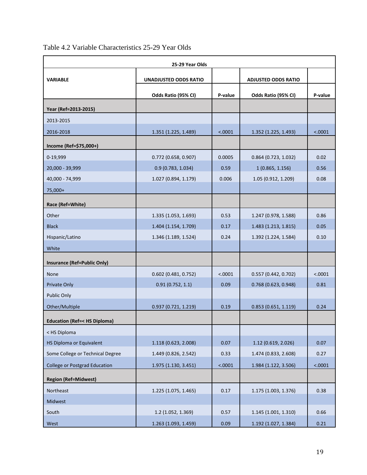| 25-29 Year Olds                        |                              |         |                            |         |  |
|----------------------------------------|------------------------------|---------|----------------------------|---------|--|
| <b>VARIABLE</b>                        | <b>UNADJUSTED ODDS RATIO</b> |         | <b>ADJUSTED ODDS RATIO</b> |         |  |
|                                        |                              |         |                            |         |  |
|                                        | Odds Ratio (95% CI)          | P-value | Odds Ratio (95% CI)        | P-value |  |
| Year (Ref=2013-2015)                   |                              |         |                            |         |  |
| 2013-2015                              |                              |         |                            |         |  |
| 2016-2018                              | 1.351 (1.225, 1.489)         | < .0001 | 1.352 (1.225, 1.493)       | < .0001 |  |
| Income (Ref=\$75,000+)                 |                              |         |                            |         |  |
| 0-19,999                               | $0.772$ (0.658, 0.907)       | 0.0005  | $0.864$ (0.723, 1.032)     | 0.02    |  |
| 20,000 - 39,999                        | 0.9(0.783, 1.034)            | 0.59    | 1(0.865, 1.156)            | 0.56    |  |
| 40,000 - 74,999                        | 1.027 (0.894, 1.179)         | 0.006   | 1.05 (0.912, 1.209)        | 0.08    |  |
| 75,000+                                |                              |         |                            |         |  |
| Race (Ref=White)                       |                              |         |                            |         |  |
| Other                                  | 1.335 (1.053, 1.693)         | 0.53    | 1.247 (0.978, 1.588)       | 0.86    |  |
| <b>Black</b>                           | 1.404 (1.154, 1.709)         | 0.17    | 1.483 (1.213, 1.815)       | 0.05    |  |
| Hispanic/Latino                        | 1.346 (1.189, 1.524)         | 0.24    | 1.392 (1.224, 1.584)       | 0.10    |  |
| White                                  |                              |         |                            |         |  |
| <b>Insurance (Ref=Public Only)</b>     |                              |         |                            |         |  |
| <b>None</b>                            | $0.602$ (0.481, 0.752)       | < .0001 | 0.557 (0.442, 0.702)       | < .0001 |  |
| <b>Private Only</b>                    | 0.91(0.752, 1.1)             | 0.09    | 0.768(0.623, 0.948)        | 0.81    |  |
| Public Only                            |                              |         |                            |         |  |
| Other/Multiple                         | 0.937(0.721, 1.219)          | 0.19    | 0.853(0.651, 1.119)        | 0.24    |  |
| <b>Education (Ref=&lt; HS Diploma)</b> |                              |         |                            |         |  |
| < HS Diploma                           |                              |         |                            |         |  |
| HS Diploma or Equivalent               | 1.118 (0.623, 2.008)         | 0.07    | 1.12 (0.619, 2.026)        | 0.07    |  |
| Some College or Technical Degree       | 1.449 (0.826, 2.542)         | 0.33    | 1.474 (0.833, 2.608)       | 0.27    |  |
| <b>College or Postgrad Education</b>   | 1.975 (1.130, 3.451)         | < .0001 | 1.984 (1.122, 3.506)       | < .0001 |  |
| <b>Region (Ref=Midwest)</b>            |                              |         |                            |         |  |
| Northeast                              | 1.225 (1.075, 1.465)         | 0.17    | 1.175 (1.003, 1.376)       | 0.38    |  |
| Midwest                                |                              |         |                            |         |  |
| South                                  | 1.2 (1.052, 1.369)           | 0.57    | 1.145 (1.001, 1.310)       | 0.66    |  |
| West                                   | 1.263 (1.093, 1.459)         | 0.09    | 1.192 (1.027, 1.384)       | 0.21    |  |

# Table 4.2 Variable Characteristics 25-29 Year Olds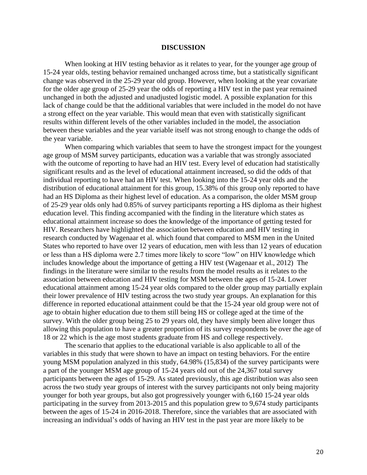#### **DISCUSSION**

When looking at HIV testing behavior as it relates to year, for the younger age group of 15-24 year olds, testing behavior remained unchanged across time, but a statistically significant change was observed in the 25-29 year old group. However, when looking at the year covariate for the older age group of 25-29 year the odds of reporting a HIV test in the past year remained unchanged in both the adjusted and unadjusted logistic model. A possible explanation for this lack of change could be that the additional variables that were included in the model do not have a strong effect on the year variable. This would mean that even with statistically significant results within different levels of the other variables included in the model, the association between these variables and the year variable itself was not strong enough to change the odds of the year variable.

When comparing which variables that seem to have the strongest impact for the youngest age group of MSM survey participants, education was a variable that was strongly associated with the outcome of reporting to have had an HIV test. Every level of education had statistically significant results and as the level of educational attainment increased, so did the odds of that individual reporting to have had an HIV test. When looking into the 15-24 year olds and the distribution of educational attainment for this group, 15.38% of this group only reported to have had an HS Diploma as their highest level of education. As a comparison, the older MSM group of 25-29 year olds only had 0.85% of survey participants reporting a HS diploma as their highest education level. This finding accompanied with the finding in the literature which states as educational attainment increase so does the knowledge of the importance of getting tested for HIV. Researchers have highlighted the association between education and HIV testing in research conducted by Wagenaar et al. which found that compared to MSM men in the United States who reported to have over 12 years of education, men with less than 12 years of education or less than a HS diploma were 2.7 times more likely to score "low" on HIV knowledge which includes knowledge about the importance of getting a HIV test (Wagenaar et al., 2012) The findings in the literature were similar to the results from the model results as it relates to the association between education and HIV testing for MSM between the ages of 15-24. Lower educational attainment among 15-24 year olds compared to the older group may partially explain their lower prevalence of HIV testing across the two study year groups. An explanation for this difference in reported educational attainment could be that the 15-24 year old group were not of age to obtain higher education due to them still being HS or college aged at the time of the survey. With the older group being 25 to 29 years old, they have simply been alive longer thus allowing this population to have a greater proportion of its survey respondents be over the age of 18 or 22 which is the age most students graduate from HS and college respectively.

The scenario that applies to the educational variable is also applicable to all of the variables in this study that were shown to have an impact on testing behaviors. For the entire young MSM population analyzed in this study, 64.98% (15,834) of the survey participants were a part of the younger MSM age group of 15-24 years old out of the 24,367 total survey participants between the ages of 15-29. As stated previously, this age distribution was also seen across the two study year groups of interest with the survey participants not only being majority younger for both year groups, but also got progressively younger with 6,160 15-24 year olds participating in the survey from 2013-2015 and this population grew to 9,674 study participants between the ages of 15-24 in 2016-2018. Therefore, since the variables that are associated with increasing an individual's odds of having an HIV test in the past year are more likely to be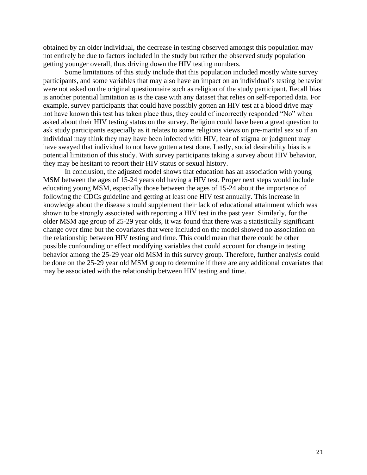obtained by an older individual, the decrease in testing observed amongst this population may not entirely be due to factors included in the study but rather the observed study population getting younger overall, thus driving down the HIV testing numbers.

Some limitations of this study include that this population included mostly white survey participants, and some variables that may also have an impact on an individual's testing behavior were not asked on the original questionnaire such as religion of the study participant. Recall bias is another potential limitation as is the case with any dataset that relies on self-reported data. For example, survey participants that could have possibly gotten an HIV test at a blood drive may not have known this test has taken place thus, they could of incorrectly responded "No" when asked about their HIV testing status on the survey. Religion could have been a great question to ask study participants especially as it relates to some religions views on pre-marital sex so if an individual may think they may have been infected with HIV, fear of stigma or judgment may have swayed that individual to not have gotten a test done. Lastly, social desirability bias is a potential limitation of this study. With survey participants taking a survey about HIV behavior, they may be hesitant to report their HIV status or sexual history.

In conclusion, the adjusted model shows that education has an association with young MSM between the ages of 15-24 years old having a HIV test. Proper next steps would include educating young MSM, especially those between the ages of 15-24 about the importance of following the CDCs guideline and getting at least one HIV test annually. This increase in knowledge about the disease should supplement their lack of educational attainment which was shown to be strongly associated with reporting a HIV test in the past year. Similarly, for the older MSM age group of 25-29 year olds, it was found that there was a statistically significant change over time but the covariates that were included on the model showed no association on the relationship between HIV testing and time. This could mean that there could be other possible confounding or effect modifying variables that could account for change in testing behavior among the 25-29 year old MSM in this survey group. Therefore, further analysis could be done on the 25-29 year old MSM group to determine if there are any additional covariates that may be associated with the relationship between HIV testing and time.